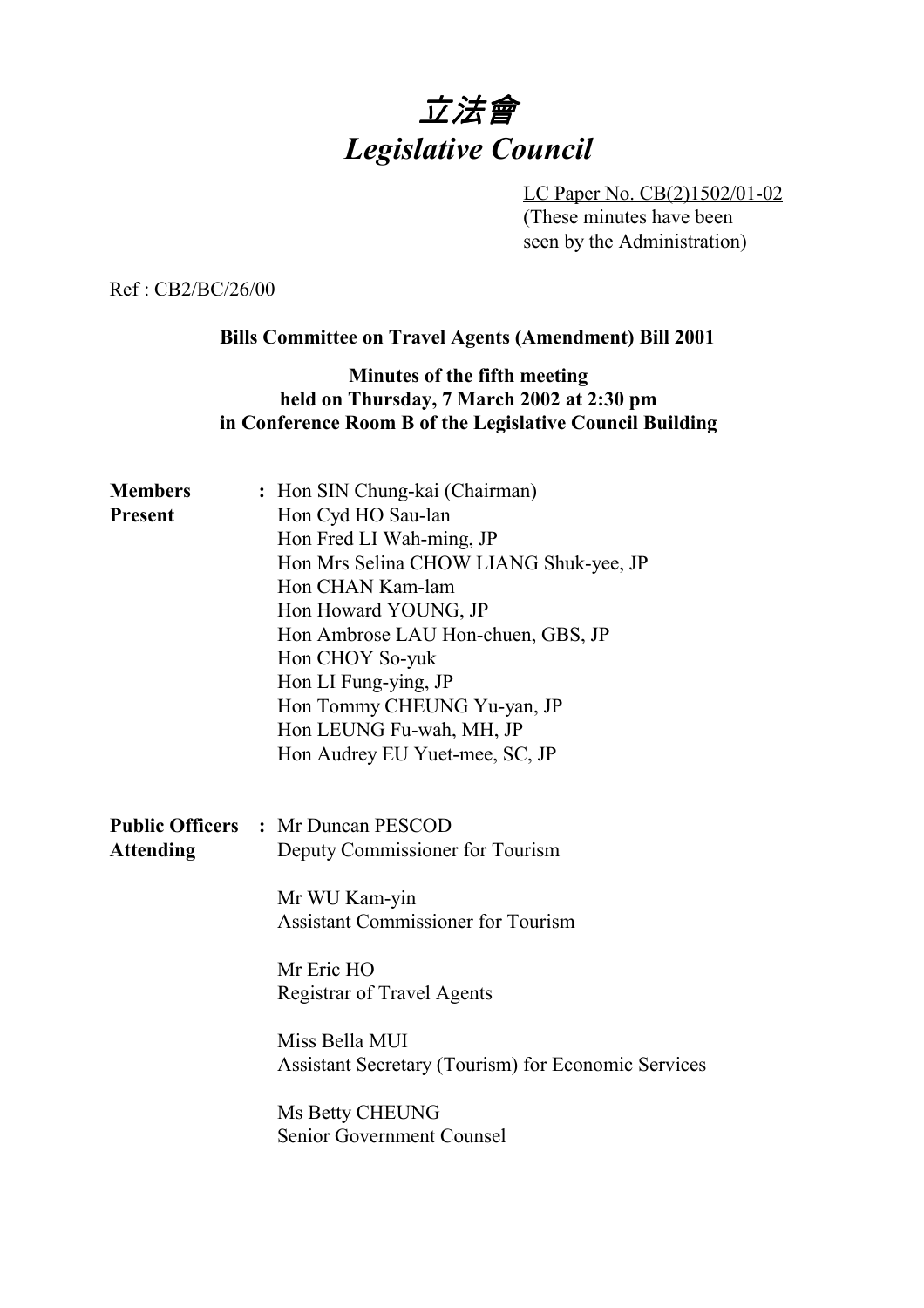

LC Paper No. CB(2)1502/01-02 (These minutes have been seen by the Administration)

Ref : CB2/BC/26/00

### **Bills Committee on Travel Agents (Amendment) Bill 2001**

## **Minutes of the fifth meeting held on Thursday, 7 March 2002 at 2:30 pm in Conference Room B of the Legislative Council Building**

| <b>Members</b>   | : Hon SIN Chung-kai (Chairman)                             |
|------------------|------------------------------------------------------------|
| <b>Present</b>   | Hon Cyd HO Sau-lan                                         |
|                  | Hon Fred LI Wah-ming, JP                                   |
|                  | Hon Mrs Selina CHOW LIANG Shuk-yee, JP                     |
|                  | Hon CHAN Kam-lam                                           |
|                  | Hon Howard YOUNG, JP                                       |
|                  | Hon Ambrose LAU Hon-chuen, GBS, JP                         |
|                  | Hon CHOY So-yuk                                            |
|                  | Hon LI Fung-ying, JP                                       |
|                  | Hon Tommy CHEUNG Yu-yan, JP                                |
|                  | Hon LEUNG Fu-wah, MH, JP                                   |
|                  | Hon Audrey EU Yuet-mee, SC, JP                             |
|                  |                                                            |
|                  |                                                            |
|                  | <b>Public Officers : Mr Duncan PESCOD</b>                  |
|                  |                                                            |
| <b>Attending</b> | Deputy Commissioner for Tourism                            |
|                  |                                                            |
|                  | Mr WU Kam-yin                                              |
|                  | <b>Assistant Commissioner for Tourism</b>                  |
|                  | Mr Eric HO                                                 |
|                  | <b>Registrar of Travel Agents</b>                          |
|                  |                                                            |
|                  | Miss Bella MUI                                             |
|                  | <b>Assistant Secretary (Tourism) for Economic Services</b> |
|                  |                                                            |
|                  | Ms Betty CHEUNG<br>Senior Government Counsel               |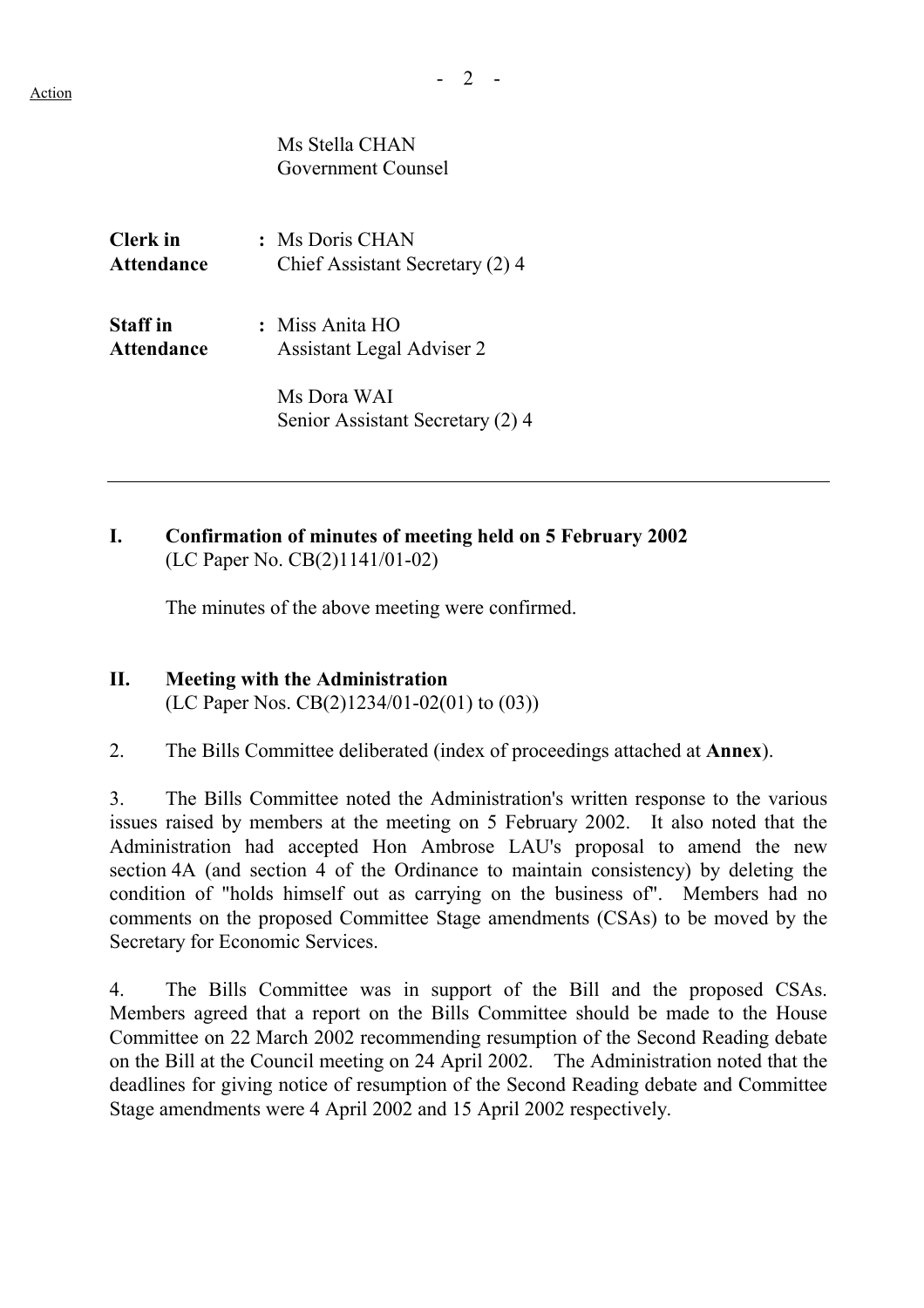$- 2 -$ 

Ms Stella CHAN Government Counsel

**Clerk in :** Ms Doris CHAN **Attendance** Chief Assistant Secretary (2) 4

**Staff in :** Miss Anita HO **Attendance** Assistant Legal Adviser 2

> Ms Dora WAI Senior Assistant Secretary (2) 4

## **I. Confirmation of minutes of meeting held on 5 February 2002** (LC Paper No. CB(2)1141/01-02)

The minutes of the above meeting were confirmed.

#### **II. Meeting with the Administration** (LC Paper Nos. CB(2)1234/01-02(01) to (03))

2. The Bills Committee deliberated (index of proceedings attached at **Annex**).

3. The Bills Committee noted the Administration's written response to the various issues raised by members at the meeting on 5 February 2002. It also noted that the Administration had accepted Hon Ambrose LAU's proposal to amend the new section 4A (and section 4 of the Ordinance to maintain consistency) by deleting the condition of "holds himself out as carrying on the business of". Members had no comments on the proposed Committee Stage amendments (CSAs) to be moved by the Secretary for Economic Services.

4. The Bills Committee was in support of the Bill and the proposed CSAs. Members agreed that a report on the Bills Committee should be made to the House Committee on 22 March 2002 recommending resumption of the Second Reading debate on the Bill at the Council meeting on 24 April 2002. The Administration noted that the deadlines for giving notice of resumption of the Second Reading debate and Committee Stage amendments were 4 April 2002 and 15 April 2002 respectively.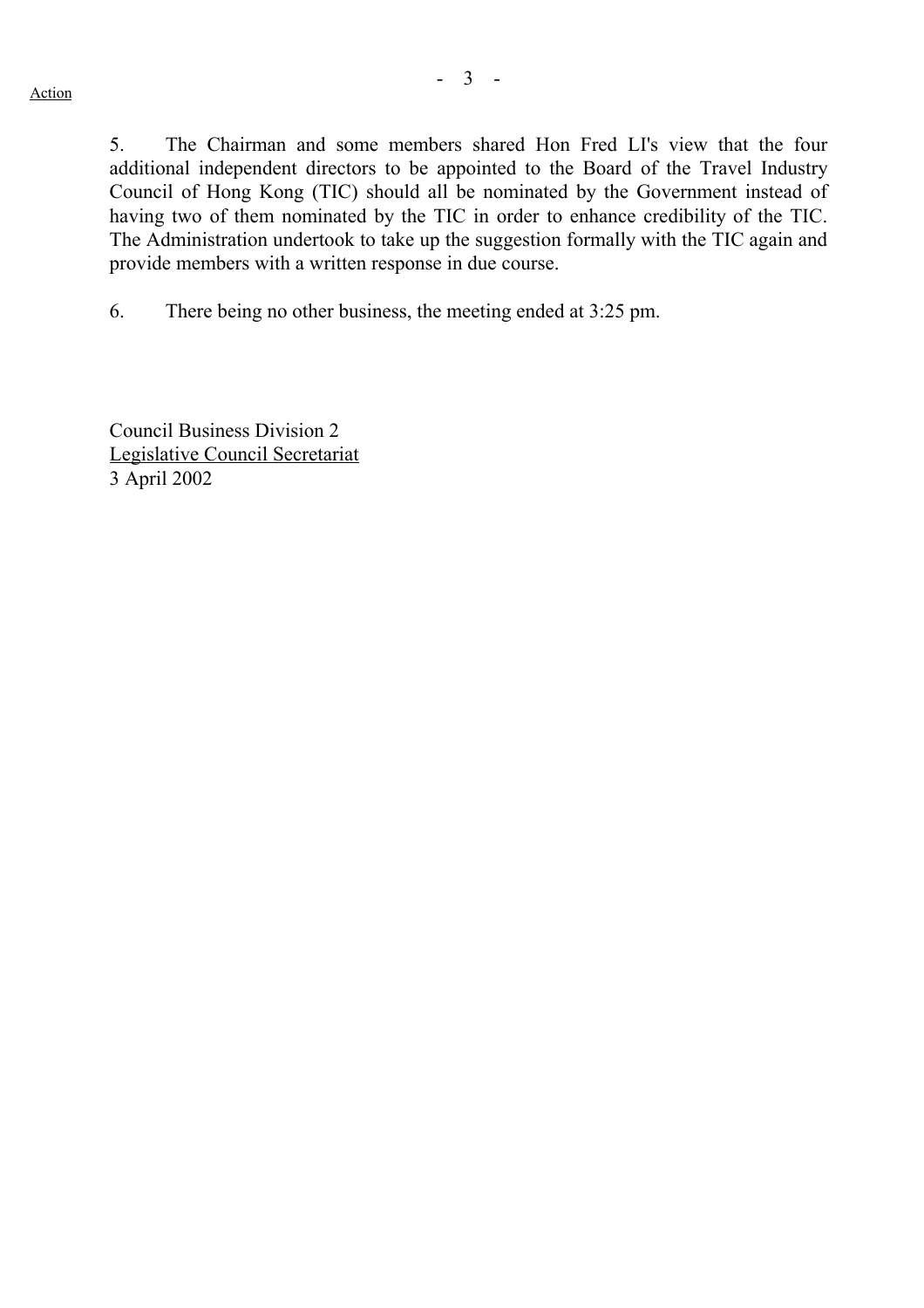5. The Chairman and some members shared Hon Fred LI's view that the four additional independent directors to be appointed to the Board of the Travel Industry Council of Hong Kong (TIC) should all be nominated by the Government instead of having two of them nominated by the TIC in order to enhance credibility of the TIC. The Administration undertook to take up the suggestion formally with the TIC again and provide members with a written response in due course.

6. There being no other business, the meeting ended at 3:25 pm.

Council Business Division 2 Legislative Council Secretariat 3 April 2002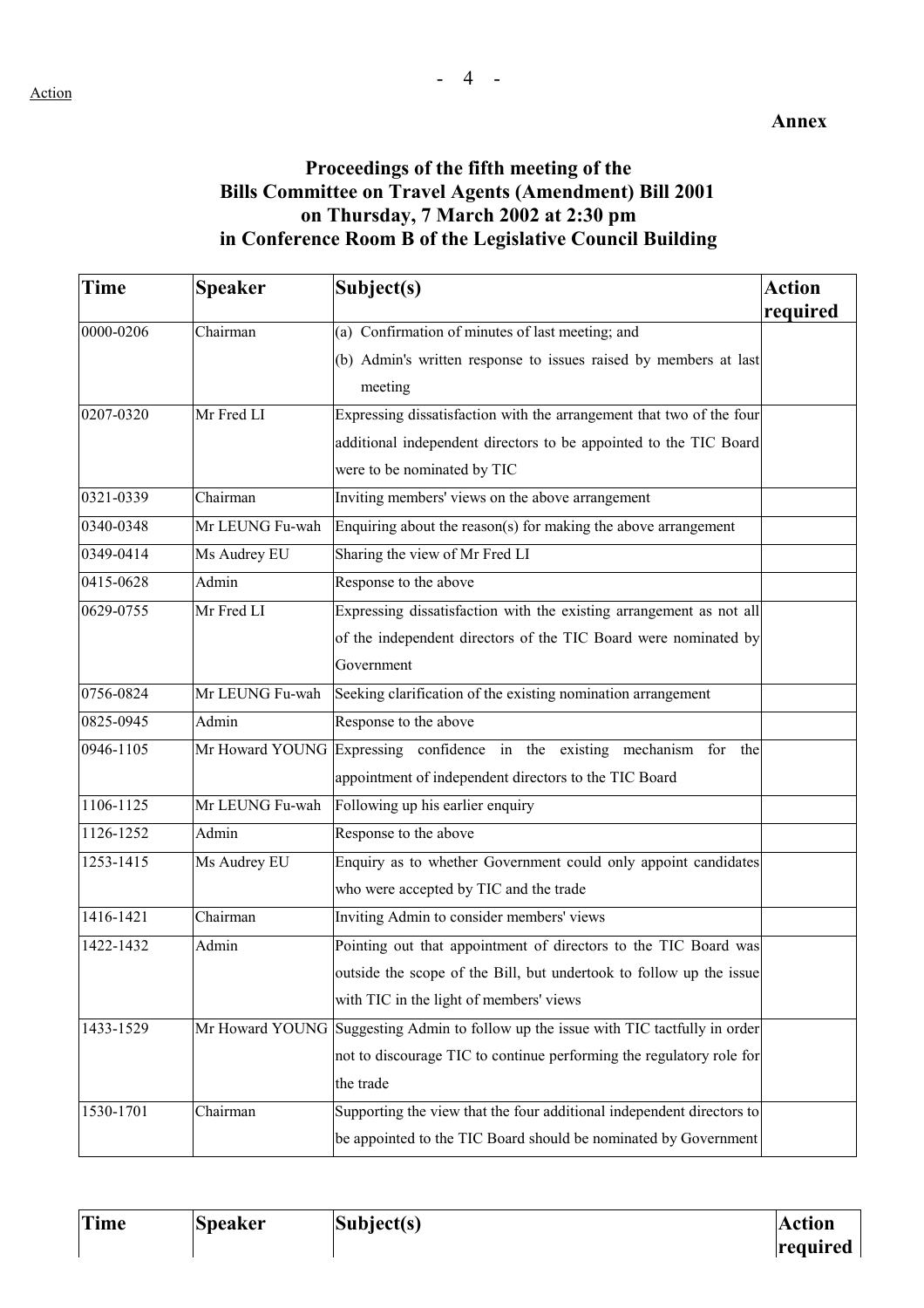# **Proceedings of the fifth meeting of the Bills Committee on Travel Agents (Amendment) Bill 2001 on Thursday, 7 March 2002 at 2:30 pm in Conference Room B of the Legislative Council Building**

| Time      | <b>Speaker</b>  | Subject(s)                                                                          | <b>Action</b> |
|-----------|-----------------|-------------------------------------------------------------------------------------|---------------|
|           |                 |                                                                                     | required      |
| 0000-0206 | Chairman        | (a) Confirmation of minutes of last meeting; and                                    |               |
|           |                 | (b) Admin's written response to issues raised by members at last                    |               |
|           |                 | meeting                                                                             |               |
| 0207-0320 | Mr Fred LI      | Expressing dissatisfaction with the arrangement that two of the four                |               |
|           |                 | additional independent directors to be appointed to the TIC Board                   |               |
|           |                 | were to be nominated by TIC                                                         |               |
| 0321-0339 | Chairman        | Inviting members' views on the above arrangement                                    |               |
| 0340-0348 | Mr LEUNG Fu-wah | Enquiring about the reason(s) for making the above arrangement                      |               |
| 0349-0414 | Ms Audrey EU    | Sharing the view of Mr Fred LI                                                      |               |
| 0415-0628 | Admin           | Response to the above                                                               |               |
| 0629-0755 | Mr Fred LI      | Expressing dissatisfaction with the existing arrangement as not all                 |               |
|           |                 | of the independent directors of the TIC Board were nominated by                     |               |
|           |                 | Government                                                                          |               |
| 0756-0824 | Mr LEUNG Fu-wah | Seeking clarification of the existing nomination arrangement                        |               |
| 0825-0945 | Admin           | Response to the above                                                               |               |
| 0946-1105 |                 | Mr Howard YOUNG Expressing confidence in the existing mechanism for the             |               |
|           |                 | appointment of independent directors to the TIC Board                               |               |
| 1106-1125 | Mr LEUNG Fu-wah | Following up his earlier enquiry                                                    |               |
| 1126-1252 | Admin           | Response to the above                                                               |               |
| 1253-1415 | Ms Audrey EU    | Enquiry as to whether Government could only appoint candidates                      |               |
|           |                 | who were accepted by TIC and the trade                                              |               |
| 1416-1421 | Chairman        | Inviting Admin to consider members' views                                           |               |
| 1422-1432 | Admin           | Pointing out that appointment of directors to the TIC Board was                     |               |
|           |                 | outside the scope of the Bill, but undertook to follow up the issue                 |               |
|           |                 | with TIC in the light of members' views                                             |               |
| 1433-1529 |                 | Mr Howard YOUNG Suggesting Admin to follow up the issue with TIC tactfully in order |               |
|           |                 | not to discourage TIC to continue performing the regulatory role for                |               |
|           |                 | the trade                                                                           |               |
| 1530-1701 | Chairman        | Supporting the view that the four additional independent directors to               |               |
|           |                 | be appointed to the TIC Board should be nominated by Government                     |               |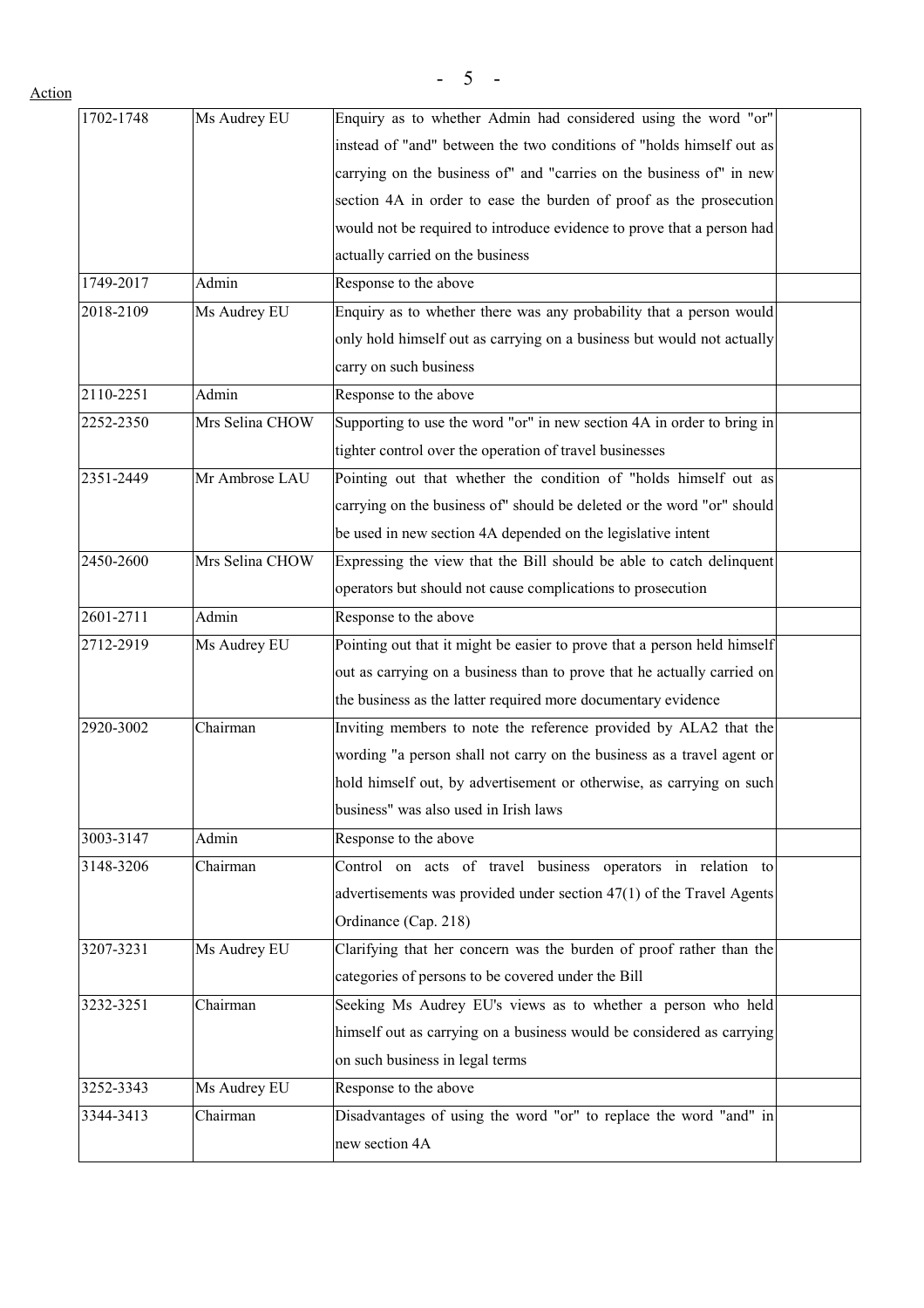| $1702 - 1748$ | Ms Audrey EU    | Enquiry as to whether Admin had considered using the word "or"           |  |
|---------------|-----------------|--------------------------------------------------------------------------|--|
|               |                 | instead of "and" between the two conditions of "holds himself out as     |  |
|               |                 | carrying on the business of" and "carries on the business of" in new     |  |
|               |                 | section 4A in order to ease the burden of proof as the prosecution       |  |
|               |                 | would not be required to introduce evidence to prove that a person had   |  |
|               |                 | actually carried on the business                                         |  |
| 1749-2017     | Admin           | Response to the above                                                    |  |
| 2018-2109     | Ms Audrey EU    | Enquiry as to whether there was any probability that a person would      |  |
|               |                 | only hold himself out as carrying on a business but would not actually   |  |
|               |                 | carry on such business                                                   |  |
| 2110-2251     | Admin           | Response to the above                                                    |  |
| 2252-2350     | Mrs Selina CHOW | Supporting to use the word "or" in new section 4A in order to bring in   |  |
|               |                 | tighter control over the operation of travel businesses                  |  |
| 2351-2449     | Mr Ambrose LAU  | Pointing out that whether the condition of "holds himself out as         |  |
|               |                 | carrying on the business of" should be deleted or the word "or" should   |  |
|               |                 | be used in new section 4A depended on the legislative intent             |  |
| 2450-2600     | Mrs Selina CHOW | Expressing the view that the Bill should be able to catch delinquent     |  |
|               |                 | operators but should not cause complications to prosecution              |  |
| 2601-2711     | Admin           | Response to the above                                                    |  |
| 2712-2919     | Ms Audrey EU    | Pointing out that it might be easier to prove that a person held himself |  |
|               |                 | out as carrying on a business than to prove that he actually carried on  |  |
|               |                 | the business as the latter required more documentary evidence            |  |
| 2920-3002     | Chairman        | Inviting members to note the reference provided by ALA2 that the         |  |
|               |                 | wording "a person shall not carry on the business as a travel agent or   |  |
|               |                 | hold himself out, by advertisement or otherwise, as carrying on such     |  |
|               |                 | business" was also used in Irish laws                                    |  |
| 3003-3147     | Admin           | Response to the above                                                    |  |
| 3148-3206     | Chairman        | Control on acts of travel business operators in relation to              |  |
|               |                 | advertisements was provided under section 47(1) of the Travel Agents     |  |
|               |                 | Ordinance (Cap. 218)                                                     |  |
| 3207-3231     | Ms Audrey EU    | Clarifying that her concern was the burden of proof rather than the      |  |
|               |                 | categories of persons to be covered under the Bill                       |  |
| 3232-3251     | Chairman        | Seeking Ms Audrey EU's views as to whether a person who held             |  |
|               |                 | himself out as carrying on a business would be considered as carrying    |  |
|               |                 | on such business in legal terms                                          |  |
| 3252-3343     | Ms Audrey EU    | Response to the above                                                    |  |
| 3344-3413     | Chairman        | Disadvantages of using the word "or" to replace the word "and" in        |  |
|               |                 | new section 4A                                                           |  |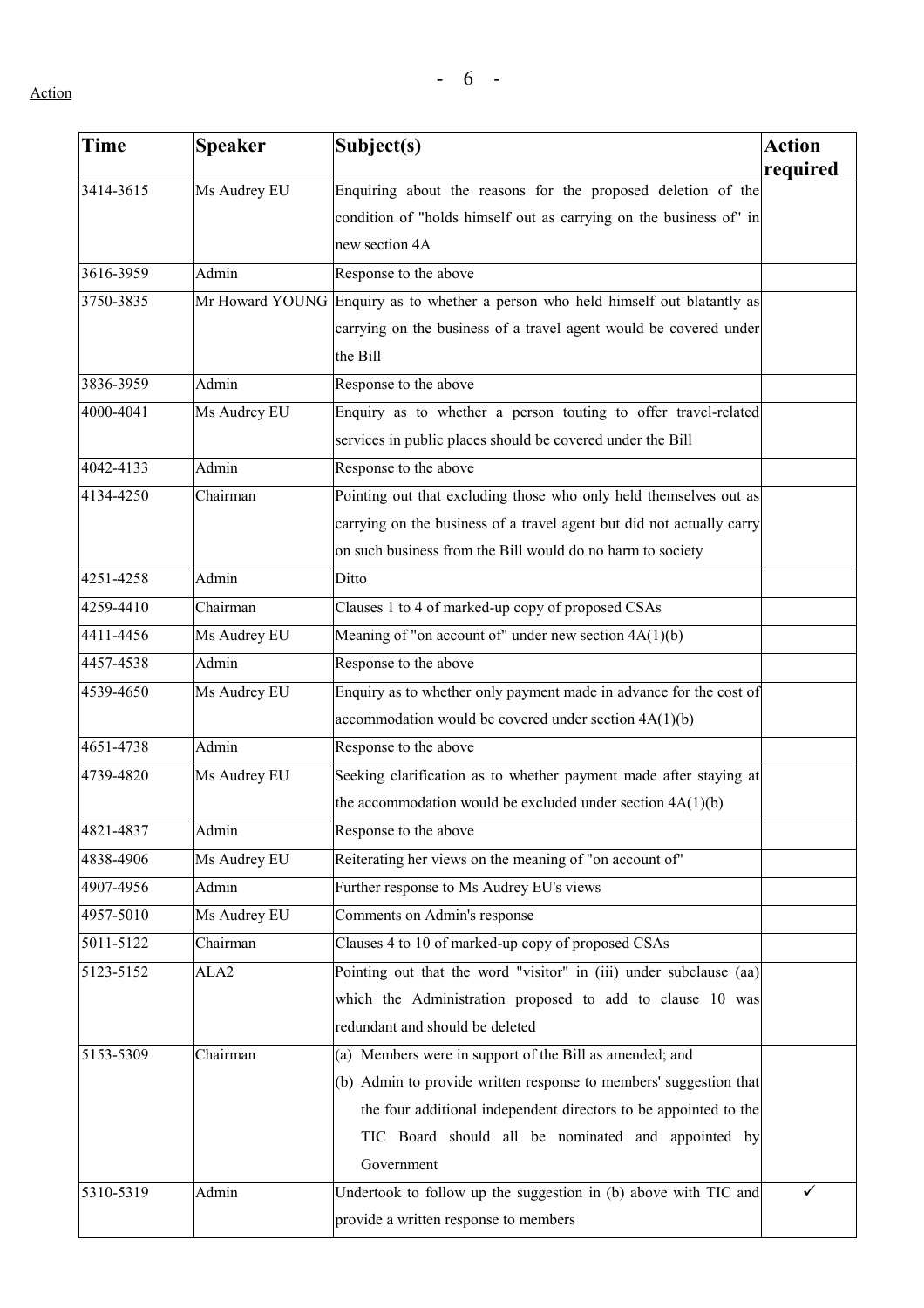| <b>Time</b> | <b>Speaker</b>   | Subject(s)                                                                       | <b>Action</b><br>required |
|-------------|------------------|----------------------------------------------------------------------------------|---------------------------|
| 3414-3615   | Ms Audrey EU     | Enquiring about the reasons for the proposed deletion of the                     |                           |
|             |                  | condition of "holds himself out as carrying on the business of" in               |                           |
|             |                  | new section 4A                                                                   |                           |
| 3616-3959   | Admin            | Response to the above                                                            |                           |
| 3750-3835   |                  | Mr Howard YOUNG Enquiry as to whether a person who held himself out blatantly as |                           |
|             |                  | carrying on the business of a travel agent would be covered under                |                           |
|             |                  | the Bill                                                                         |                           |
| 3836-3959   | Admin            | Response to the above                                                            |                           |
| 4000-4041   | Ms Audrey EU     | Enquiry as to whether a person touting to offer travel-related                   |                           |
|             |                  | services in public places should be covered under the Bill                       |                           |
| 4042-4133   | Admin            | Response to the above                                                            |                           |
| 4134-4250   | Chairman         | Pointing out that excluding those who only held themselves out as                |                           |
|             |                  | carrying on the business of a travel agent but did not actually carry            |                           |
|             |                  | on such business from the Bill would do no harm to society                       |                           |
| 4251-4258   | Admin            | Ditto                                                                            |                           |
| 4259-4410   | Chairman         | Clauses 1 to 4 of marked-up copy of proposed CSAs                                |                           |
| 4411-4456   | Ms Audrey EU     | Meaning of "on account of" under new section $4A(1)(b)$                          |                           |
| 4457-4538   | Admin            | Response to the above                                                            |                           |
| 4539-4650   | Ms Audrey EU     | Enquiry as to whether only payment made in advance for the cost of               |                           |
|             |                  | accommodation would be covered under section $4A(1)(b)$                          |                           |
| 4651-4738   | Admin            | Response to the above                                                            |                           |
| 4739-4820   | Ms Audrey EU     | Seeking clarification as to whether payment made after staying at                |                           |
|             |                  | the accommodation would be excluded under section $4A(1)(b)$                     |                           |
| 4821-4837   | Admin            | Response to the above                                                            |                           |
| 4838-4906   | Ms Audrey EU     | Reiterating her views on the meaning of "on account of"                          |                           |
| 4907-4956   | Admin            | Further response to Ms Audrey EU's views                                         |                           |
| 4957-5010   | Ms Audrey EU     | Comments on Admin's response                                                     |                           |
| 5011-5122   | Chairman         | Clauses 4 to 10 of marked-up copy of proposed CSAs                               |                           |
| 5123-5152   | ALA <sub>2</sub> | Pointing out that the word "visitor" in (iii) under subclause (aa)               |                           |
|             |                  | which the Administration proposed to add to clause 10 was                        |                           |
|             |                  | redundant and should be deleted                                                  |                           |
| 5153-5309   | Chairman         | (a) Members were in support of the Bill as amended; and                          |                           |
|             |                  | (b) Admin to provide written response to members' suggestion that                |                           |
|             |                  | the four additional independent directors to be appointed to the                 |                           |
|             |                  | TIC Board should all be nominated and appointed by                               |                           |
|             |                  | Government                                                                       |                           |
| 5310-5319   | Admin            | Undertook to follow up the suggestion in (b) above with TIC and                  | ✓                         |
|             |                  | provide a written response to members                                            |                           |